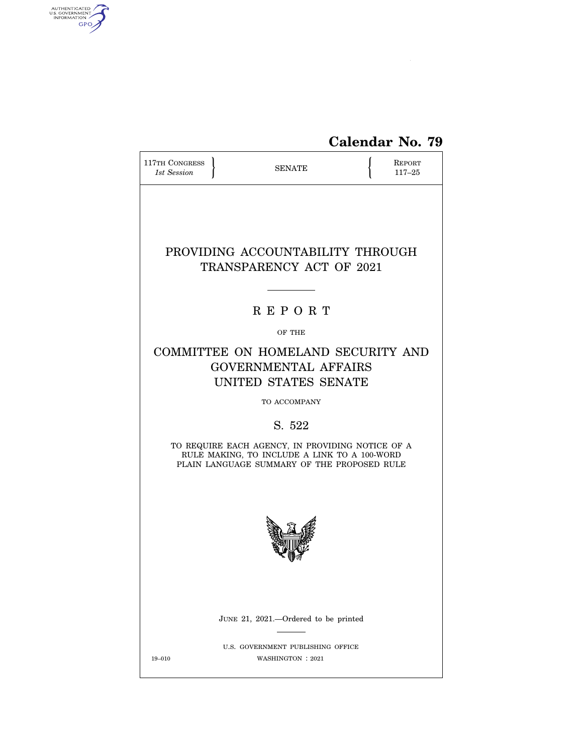

| 117TH CONGRESS<br>1st Session                                | <b>SENATE</b>                                                                                                                                   |  | REPORT<br>$117 - 25$ |  |  |  |
|--------------------------------------------------------------|-------------------------------------------------------------------------------------------------------------------------------------------------|--|----------------------|--|--|--|
| PROVIDING ACCOUNTABILITY THROUGH<br>TRANSPARENCY ACT OF 2021 |                                                                                                                                                 |  |                      |  |  |  |
|                                                              | <b>REPORT</b>                                                                                                                                   |  |                      |  |  |  |
|                                                              | OF THE                                                                                                                                          |  |                      |  |  |  |
|                                                              | COMMITTEE ON HOMELAND SECURITY AND<br><b>GOVERNMENTAL AFFAIRS</b><br>UNITED STATES SENATE                                                       |  |                      |  |  |  |
|                                                              | TO ACCOMPANY                                                                                                                                    |  |                      |  |  |  |
|                                                              | S. 522                                                                                                                                          |  |                      |  |  |  |
|                                                              | TO REQUIRE EACH AGENCY, IN PROVIDING NOTICE OF A<br>RULE MAKING, TO INCLUDE A LINK TO A 100-WORD<br>PLAIN LANGUAGE SUMMARY OF THE PROPOSED RULE |  |                      |  |  |  |
|                                                              |                                                                                                                                                 |  |                      |  |  |  |
|                                                              | JUNE 21, 2021.—Ordered to be printed                                                                                                            |  |                      |  |  |  |
| $19 - 010$                                                   | U.S. GOVERNMENT PUBLISHING OFFICE<br>WASHINGTON : 2021                                                                                          |  |                      |  |  |  |

AUTHENTICATED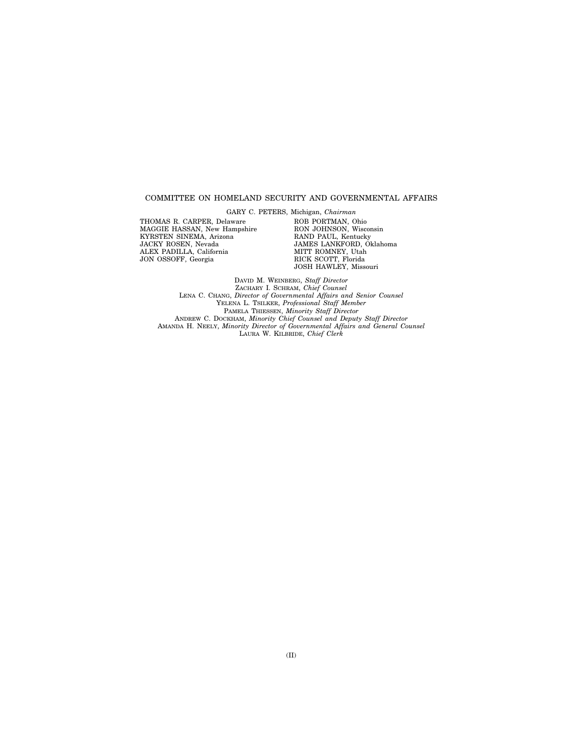## COMMITTEE ON HOMELAND SECURITY AND GOVERNMENTAL AFFAIRS

GARY C. PETERS, Michigan, *Chairman*  THOMAS R. CARPER, Delaware

MAGGIE HASSAN, New Hampshire KYRSTEN SINEMA, Arizona JACKY ROSEN, Nevada ALEX PADILLA, California JON OSSOFF, Georgia

ROB PORTMAN, Ohio RON JOHNSON, Wisconsin RAND PAUL, Kentucky JAMES LANKFORD, Oklahoma MITT ROMNEY, Utah RICK SCOTT, Florida JOSH HAWLEY, Missouri

DAVID M. WEINBERG, *Staff Director*  ZACHARY I. SCHRAM, *Chief Counsel*  LENA C. CHANG, *Director of Governmental Affairs and Senior Counsel*  YELENA L. TSILKER, *Professional Staff Member*  PAMELA THIESSEN, *Minority Staff Director*  ANDREW C. DOCKHAM, *Minority Chief Counsel and Deputy Staff Director*  AMANDA H. NEELY, *Minority Director of Governmental Affairs and General Counsel*  LAURA W. KILBRIDE, *Chief Clerk*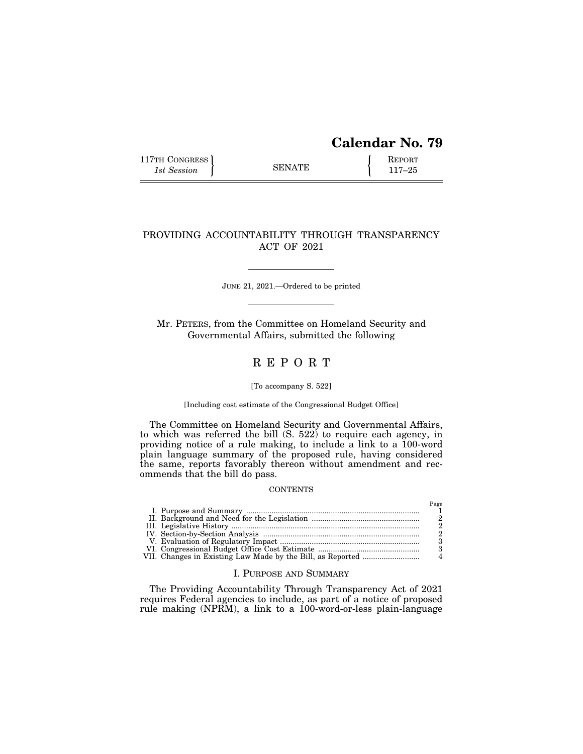# **Calendar No. 79**

117TH CONGRESS REPORT 115 SENATE **REPORT** 

# PROVIDING ACCOUNTABILITY THROUGH TRANSPARENCY ACT OF 2021

JUNE 21, 2021.—Ordered to be printed

Mr. PETERS, from the Committee on Homeland Security and Governmental Affairs, submitted the following

# R E P O R T

### [To accompany S. 522]

[Including cost estimate of the Congressional Budget Office]

The Committee on Homeland Security and Governmental Affairs, to which was referred the bill (S. 522) to require each agency, in providing notice of a rule making, to include a link to a 100-word plain language summary of the proposed rule, having considered the same, reports favorably thereon without amendment and recommends that the bill do pass.

### **CONTENTS**

|  | 3  |
|--|----|
|  | -3 |
|  |    |

# I. PURPOSE AND SUMMARY

The Providing Accountability Through Transparency Act of 2021 requires Federal agencies to include, as part of a notice of proposed rule making (NPRM), a link to a 100-word-or-less plain-language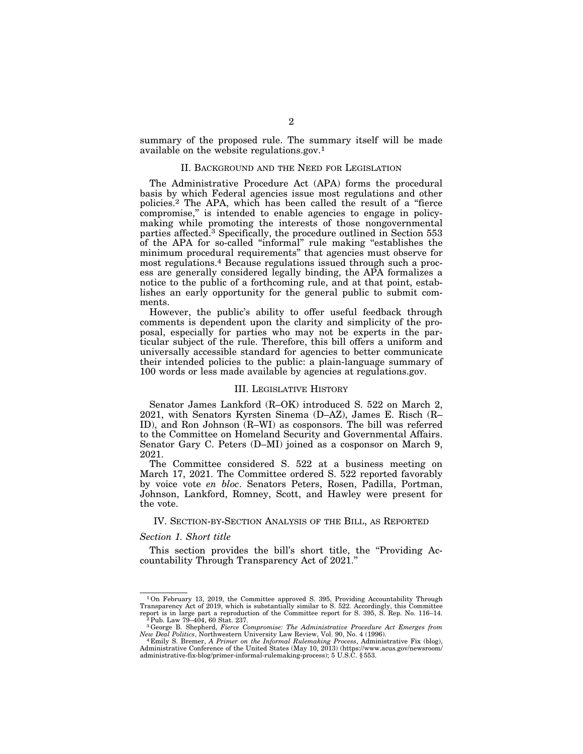summary of the proposed rule. The summary itself will be made available on the website regulations.gov.1

## II. BACKGROUND AND THE NEED FOR LEGISLATION

The Administrative Procedure Act (APA) forms the procedural basis by which Federal agencies issue most regulations and other policies.2 The APA, which has been called the result of a ''fierce compromise,'' is intended to enable agencies to engage in policymaking while promoting the interests of those nongovernmental parties affected.3 Specifically, the procedure outlined in Section 553 of the APA for so-called ''informal'' rule making ''establishes the minimum procedural requirements'' that agencies must observe for most regulations.4 Because regulations issued through such a process are generally considered legally binding, the APA formalizes a notice to the public of a forthcoming rule, and at that point, establishes an early opportunity for the general public to submit comments.

However, the public's ability to offer useful feedback through comments is dependent upon the clarity and simplicity of the proposal, especially for parties who may not be experts in the particular subject of the rule. Therefore, this bill offers a uniform and universally accessible standard for agencies to better communicate their intended policies to the public: a plain-language summary of 100 words or less made available by agencies at regulations.gov.

### III. LEGISLATIVE HISTORY

Senator James Lankford (R–OK) introduced S. 522 on March 2, 2021, with Senators Kyrsten Sinema (D–AZ), James E. Risch (R– ID), and Ron Johnson (R–WI) as cosponsors. The bill was referred to the Committee on Homeland Security and Governmental Affairs. Senator Gary C. Peters (D–MI) joined as a cosponsor on March 9, 2021.

The Committee considered S. 522 at a business meeting on March 17, 2021. The Committee ordered S. 522 reported favorably by voice vote *en bloc*. Senators Peters, Rosen, Padilla, Portman, Johnson, Lankford, Romney, Scott, and Hawley were present for the vote.

#### IV. SECTION-BY-SECTION ANALYSIS OF THE BILL, AS REPORTED

#### *Section 1. Short title*

This section provides the bill's short title, the ''Providing Accountability Through Transparency Act of 2021.''

<sup>1</sup>On February 13, 2019, the Committee approved S. 395, Providing Accountability Through Transparency Act of 2019, which is substantially similar to S. 522. Accordingly, this Committee report is in large part a reproduction of the Committee report for S. 395, S. Rep. No. 116–14.<br><sup>2</sup>Pub. Law 79–404, 60 Stat. 237.

<sup>3</sup>George B. Shepherd, *Fierce Compromise: The Administrative Procedure Act Emerges from New Deal Politics*, Northwestern University Law Review, Vol. 90, No. 4 (1996). 4 Emily S. Bremer, *A Primer on the Informal Rulemaking Process*, Administrative Fix (blog),

Administrative Conference of the United States (May 10, 2013) (https://www.acus.gov/newsroom/ administrative-fix-blog/primer-informal-rulemaking-process); 5 U.S.C. § 553.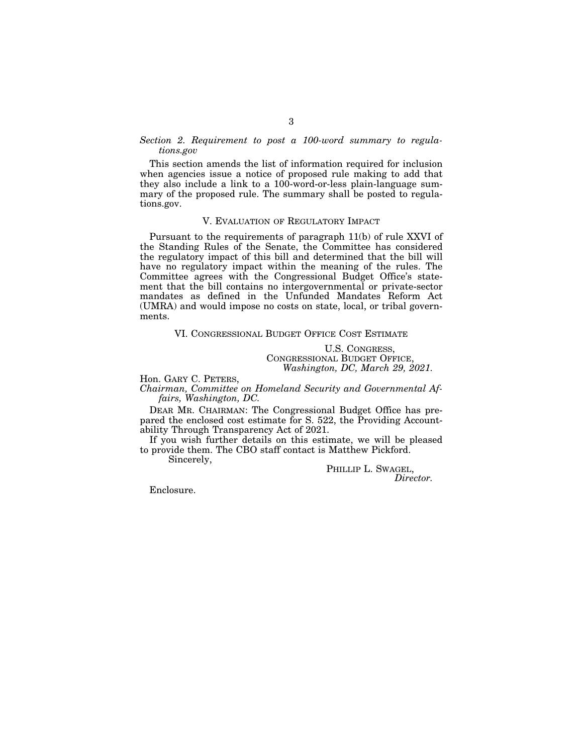# *Section 2. Requirement to post a 100-word summary to regulations.gov*

This section amends the list of information required for inclusion when agencies issue a notice of proposed rule making to add that they also include a link to a 100-word-or-less plain-language summary of the proposed rule. The summary shall be posted to regulations.gov.

### V. EVALUATION OF REGULATORY IMPACT

Pursuant to the requirements of paragraph 11(b) of rule XXVI of the Standing Rules of the Senate, the Committee has considered the regulatory impact of this bill and determined that the bill will have no regulatory impact within the meaning of the rules. The Committee agrees with the Congressional Budget Office's statement that the bill contains no intergovernmental or private-sector mandates as defined in the Unfunded Mandates Reform Act (UMRA) and would impose no costs on state, local, or tribal governments.

### VI. CONGRESSIONAL BUDGET OFFICE COST ESTIMATE

U.S. CONGRESS, CONGRESSIONAL BUDGET OFFICE, *Washington, DC, March 29, 2021.* 

Hon. GARY C. PETERS,

*Chairman, Committee on Homeland Security and Governmental Affairs, Washington, DC.* 

DEAR MR. CHAIRMAN: The Congressional Budget Office has prepared the enclosed cost estimate for S. 522, the Providing Accountability Through Transparency Act of 2021.

If you wish further details on this estimate, we will be pleased to provide them. The CBO staff contact is Matthew Pickford.

Sincerely,

PHILLIP L. SWAGEL, *Director.* 

Enclosure.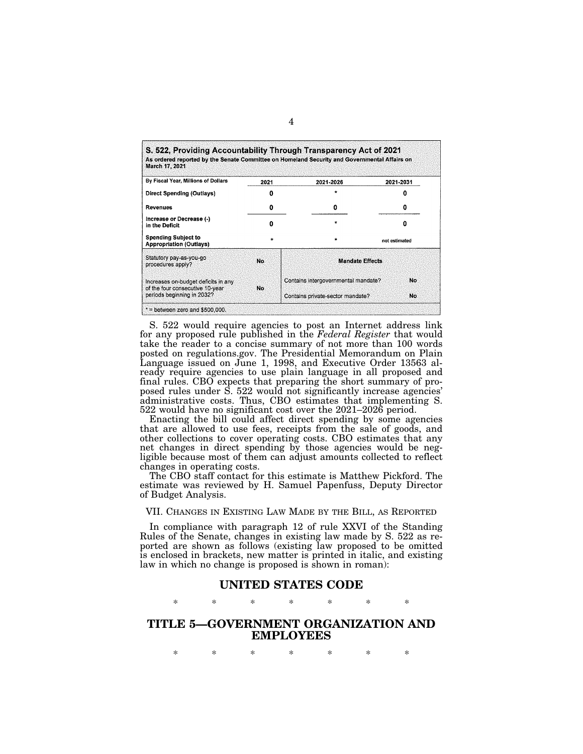| March 17, 2021                                                         |           | As ordered reported by the Senate Committee on Homeland Security and Governmental Affairs on |               |  |
|------------------------------------------------------------------------|-----------|----------------------------------------------------------------------------------------------|---------------|--|
| By Fiscal Year, Millions of Dollars                                    | 2021      | 2021-2026                                                                                    | 2021-2031     |  |
| Direct Spending (Outlays)                                              |           |                                                                                              |               |  |
| Revenues                                                               | o         | o                                                                                            | o             |  |
| Increase or Decrease (-)<br>in the Deficit                             | Ω         |                                                                                              | Ω             |  |
| <b>Spending Subject to</b><br><b>Appropriation (Outlays)</b>           | $\bullet$ |                                                                                              | not estimated |  |
| Statutory pay-as-you-go<br>procedures apply?                           | <b>No</b> | <b>Mandate Effects</b>                                                                       |               |  |
| Increases on-budget deficits in any<br>of the four consecutive 10-year | <b>No</b> | Contains intergovernmental mandate?                                                          | No            |  |
| periods beginning in 2032?                                             |           | Contains private-sector mandate?                                                             | No            |  |

S. 522 would require agencies to post an Internet address link for any proposed rule published in the *Federal Register* that would take the reader to a concise summary of not more than 100 words posted on regulations.gov. The Presidential Memorandum on Plain Language issued on June 1, 1998, and Executive Order 13563 already require agencies to use plain language in all proposed and final rules. CBO expects that preparing the short summary of proposed rules under S. 522 would not significantly increase agencies' administrative costs. Thus, CBO estimates that implementing S. 522 would have no significant cost over the 2021–2026 period.

Enacting the bill could affect direct spending by some agencies that are allowed to use fees, receipts from the sale of goods, and other collections to cover operating costs. CBO estimates that any net changes in direct spending by those agencies would be negligible because most of them can adjust amounts collected to reflect changes in operating costs.

The CBO staff contact for this estimate is Matthew Pickford. The estimate was reviewed by H. Samuel Papenfuss, Deputy Director of Budget Analysis.

VII. CHANGES IN EXISTING LAW MADE BY THE BILL, AS REPORTED

In compliance with paragraph 12 of rule XXVI of the Standing Rules of the Senate, changes in existing law made by S. 522 as reported are shown as follows (existing law proposed to be omitted is enclosed in brackets, new matter is printed in italic, and existing law in which no change is proposed is shown in roman):

# **UNITED STATES CODE**

\* \* \* \* \* \* \*

# **TITLE 5—GOVERNMENT ORGANIZATION AND EMPLOYEES**

\* \* \* \* \* \* \*